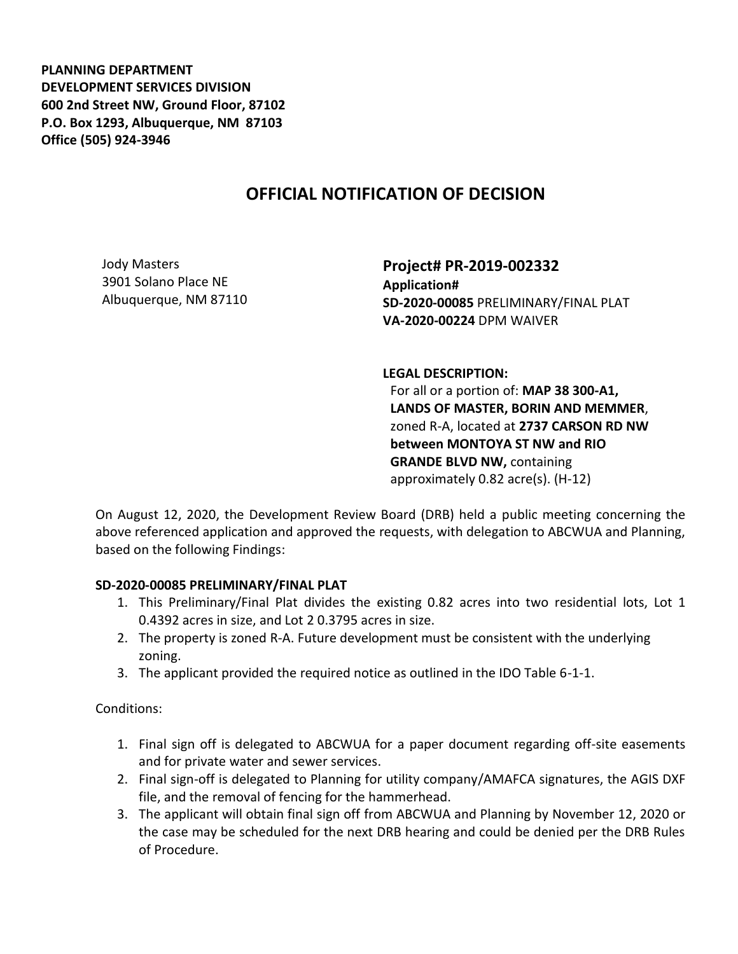**PLANNING DEPARTMENT DEVELOPMENT SERVICES DIVISION 600 2nd Street NW, Ground Floor, 87102 P.O. Box 1293, Albuquerque, NM 87103 Office (505) 924-3946** 

## **OFFICIAL NOTIFICATION OF DECISION**

Jody Masters 3901 Solano Place NE Albuquerque, NM 87110

**Project# PR-2019-002332 Application# SD-2020-00085** PRELIMINARY/FINAL PLAT **VA-2020-00224** DPM WAIVER

**LEGAL DESCRIPTION:**

For all or a portion of: **MAP 38 300-A1, LANDS OF MASTER, BORIN AND MEMMER**, zoned R-A, located at **2737 CARSON RD NW between MONTOYA ST NW and RIO GRANDE BLVD NW,** containing approximately 0.82 acre(s). (H-12)

On August 12, 2020, the Development Review Board (DRB) held a public meeting concerning the above referenced application and approved the requests, with delegation to ABCWUA and Planning, based on the following Findings:

## **SD-2020-00085 PRELIMINARY/FINAL PLAT**

- 1. This Preliminary/Final Plat divides the existing 0.82 acres into two residential lots, Lot 1 0.4392 acres in size, and Lot 2 0.3795 acres in size.
- 2. The property is zoned R-A. Future development must be consistent with the underlying zoning.
- 3. The applicant provided the required notice as outlined in the IDO Table 6-1-1.

Conditions:

- 1. Final sign off is delegated to ABCWUA for a paper document regarding off-site easements and for private water and sewer services.
- 2. Final sign-off is delegated to Planning for utility company/AMAFCA signatures, the AGIS DXF file, and the removal of fencing for the hammerhead.
- 3. The applicant will obtain final sign off from ABCWUA and Planning by November 12, 2020 or the case may be scheduled for the next DRB hearing and could be denied per the DRB Rules of Procedure.